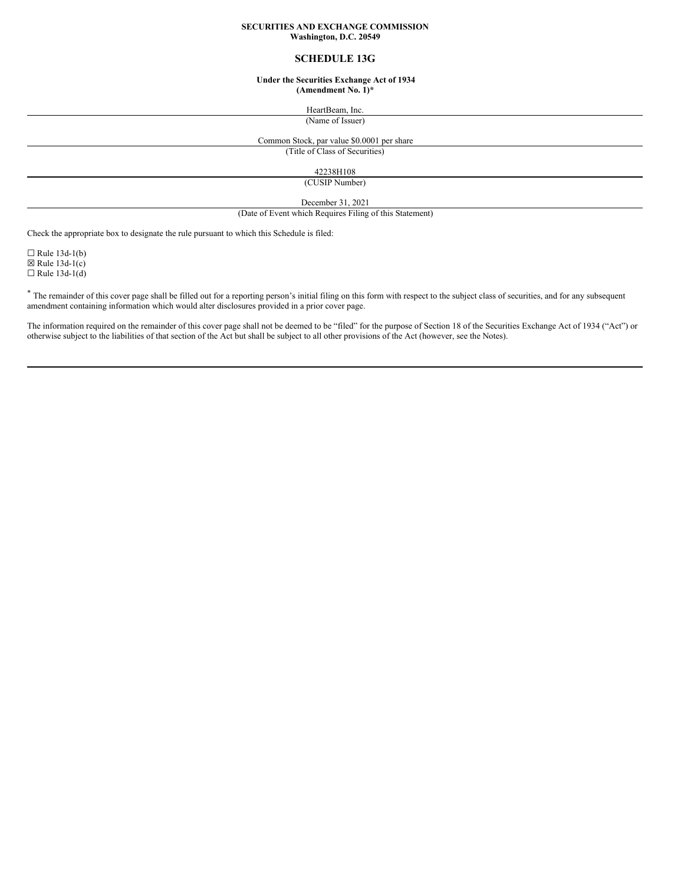### **SECURITIES AND EXCHANGE COMMISSION Washington, D.C. 20549**

# **SCHEDULE 13G**

### **Under the Securities Exchange Act of 1934 (Amendment No. 1)\***

HeartBeam, Inc.

(Name of Issuer)

# Common Stock, par value \$0.0001 per share

(Title of Class of Securities)

42238H108

(CUSIP Number)

December 31, 2021

(Date of Event which Requires Filing of this Statement)

Check the appropriate box to designate the rule pursuant to which this Schedule is filed:

 $\Box$  Rule 13d-1(b)  $\boxtimes$  Rule 13d-1(c)  $\Box$  Rule 13d-1(d)

\* The remainder of this cover page shall be filled out for a reporting person's initial filing on this form with respect to the subject class of securities, and for any subsequent amendment containing information which would alter disclosures provided in a prior cover page.

The information required on the remainder of this cover page shall not be deemed to be "filed" for the purpose of Section 18 of the Securities Exchange Act of 1934 ("Act") or otherwise subject to the liabilities of that section of the Act but shall be subject to all other provisions of the Act (however, see the Notes).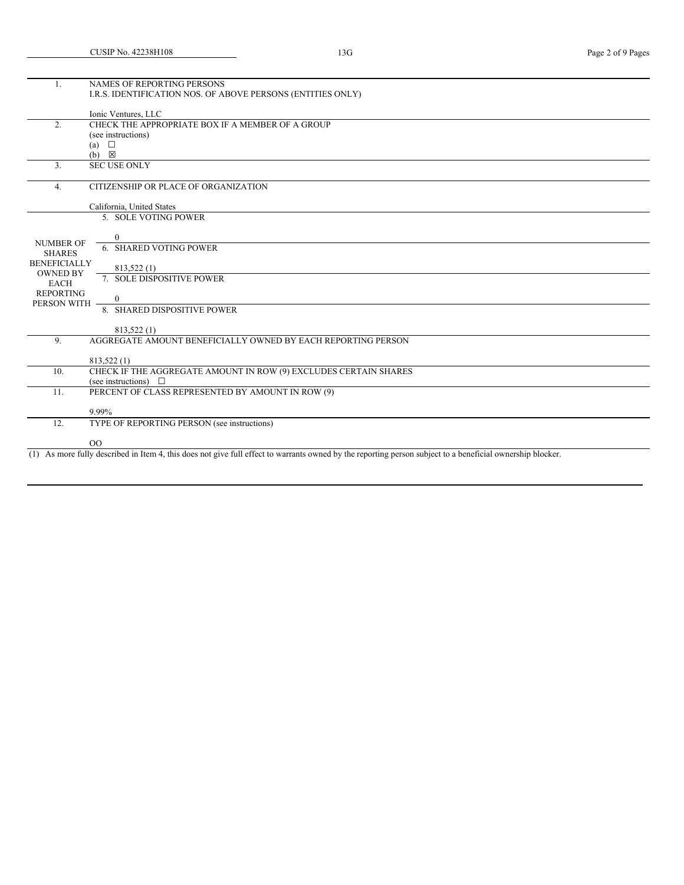| 1.                  | NAMES OF REPORTING PERSONS                                                                                                                                   |
|---------------------|--------------------------------------------------------------------------------------------------------------------------------------------------------------|
|                     | I.R.S. IDENTIFICATION NOS. OF ABOVE PERSONS (ENTITIES ONLY)                                                                                                  |
|                     |                                                                                                                                                              |
|                     |                                                                                                                                                              |
|                     | Ionic Ventures, LLC                                                                                                                                          |
| $\overline{2}$ .    | CHECK THE APPROPRIATE BOX IF A MEMBER OF A GROUP                                                                                                             |
|                     | (see instructions)                                                                                                                                           |
|                     | (a) $\Box$                                                                                                                                                   |
|                     | $(b) \quad \boxtimes$                                                                                                                                        |
| 3.                  | <b>SEC USE ONLY</b>                                                                                                                                          |
|                     |                                                                                                                                                              |
|                     |                                                                                                                                                              |
| 4.                  | CITIZENSHIP OR PLACE OF ORGANIZATION                                                                                                                         |
|                     |                                                                                                                                                              |
|                     | California, United States                                                                                                                                    |
|                     | 5. SOLE VOTING POWER                                                                                                                                         |
|                     |                                                                                                                                                              |
|                     | $\Omega$                                                                                                                                                     |
| <b>NUMBER OF</b>    | <b>6. SHARED VOTING POWER</b>                                                                                                                                |
| <b>SHARES</b>       |                                                                                                                                                              |
| <b>BENEFICIALLY</b> |                                                                                                                                                              |
| <b>OWNED BY</b>     | 813,522 (1)                                                                                                                                                  |
| <b>EACH</b>         | 7. SOLE DISPOSITIVE POWER                                                                                                                                    |
| <b>REPORTING</b>    |                                                                                                                                                              |
| PERSON WITH         | $\Omega$                                                                                                                                                     |
|                     | 8. SHARED DISPOSITIVE POWER                                                                                                                                  |
|                     |                                                                                                                                                              |
|                     | 813,522 (1)                                                                                                                                                  |
| 9.                  | AGGREGATE AMOUNT BENEFICIALLY OWNED BY EACH REPORTING PERSON                                                                                                 |
|                     |                                                                                                                                                              |
|                     |                                                                                                                                                              |
|                     | 813,522 (1)                                                                                                                                                  |
| 10.                 | CHECK IF THE AGGREGATE AMOUNT IN ROW (9) EXCLUDES CERTAIN SHARES                                                                                             |
|                     | (see instructions) $\Box$                                                                                                                                    |
| 11.                 | PERCENT OF CLASS REPRESENTED BY AMOUNT IN ROW (9)                                                                                                            |
|                     |                                                                                                                                                              |
|                     | 9.99%                                                                                                                                                        |
| 12.                 | TYPE OF REPORTING PERSON (see instructions)                                                                                                                  |
|                     |                                                                                                                                                              |
|                     |                                                                                                                                                              |
|                     | O <sub>O</sub>                                                                                                                                               |
|                     | $(1)$ As more fully described in Item 4, this does not give full effect to warrants owned by the reporting person subject to a beneficial ownership blocker. |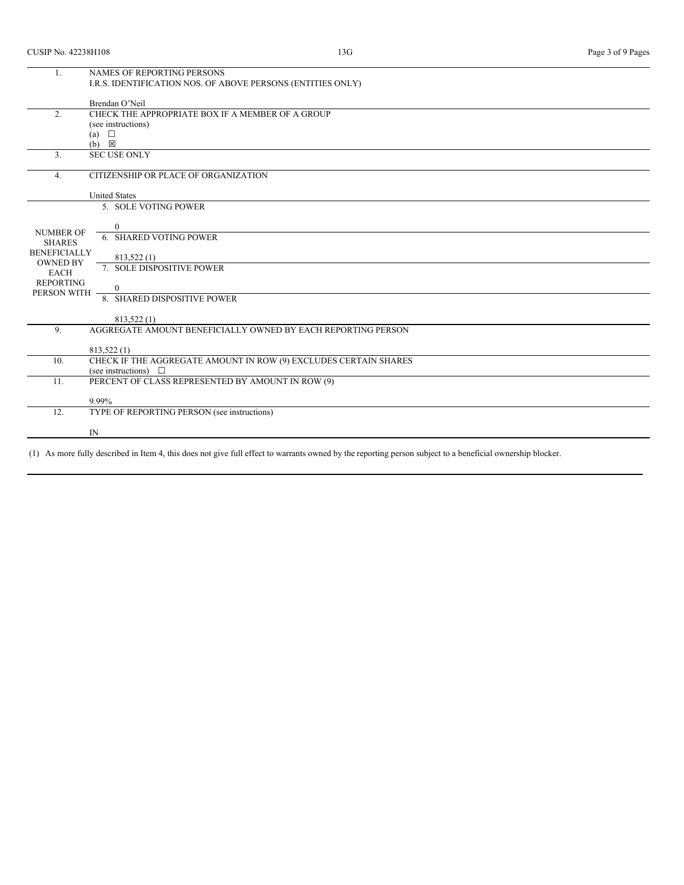| 1.                  | NAMES OF REPORTING PERSONS                                       |
|---------------------|------------------------------------------------------------------|
|                     | I.R.S. IDENTIFICATION NOS. OF ABOVE PERSONS (ENTITIES ONLY)      |
|                     |                                                                  |
|                     | Brendan O'Neil                                                   |
| 2.                  | CHECK THE APPROPRIATE BOX IF A MEMBER OF A GROUP                 |
|                     | (see instructions)                                               |
|                     | (a) $\Box$                                                       |
|                     | (b)<br>$\boxtimes$                                               |
| 3.                  | <b>SEC USE ONLY</b>                                              |
|                     |                                                                  |
| 4.                  | CITIZENSHIP OR PLACE OF ORGANIZATION                             |
|                     |                                                                  |
|                     | <b>United States</b>                                             |
|                     | 5. SOLE VOTING POWER                                             |
|                     |                                                                  |
| <b>NUMBER OF</b>    | $\Omega$                                                         |
| <b>SHARES</b>       | 6. SHARED VOTING POWER                                           |
| <b>BENEFICIALLY</b> |                                                                  |
| <b>OWNED BY</b>     | 813,522 (1)                                                      |
| <b>EACH</b>         | 7. SOLE DISPOSITIVE POWER                                        |
| <b>REPORTING</b>    |                                                                  |
| PERSON WITH         | $\mathbf{0}$                                                     |
|                     | 8. SHARED DISPOSITIVE POWER                                      |
|                     |                                                                  |
|                     | 813,522 (1)                                                      |
| 9 <sub>1</sub>      | AGGREGATE AMOUNT BENEFICIALLY OWNED BY EACH REPORTING PERSON     |
|                     |                                                                  |
|                     | 813,522 (1)                                                      |
| 10.                 | CHECK IF THE AGGREGATE AMOUNT IN ROW (9) EXCLUDES CERTAIN SHARES |
|                     | (see instructions) $\Box$                                        |
| 11.                 | PERCENT OF CLASS REPRESENTED BY AMOUNT IN ROW (9)                |
|                     |                                                                  |
|                     | 9.99%                                                            |
| 12.                 | TYPE OF REPORTING PERSON (see instructions)                      |
|                     |                                                                  |
|                     | IN                                                               |
|                     |                                                                  |

(1) As more fully described in Item 4, this does not give full effect to warrants owned by the reporting person subject to a beneficial ownership blocker.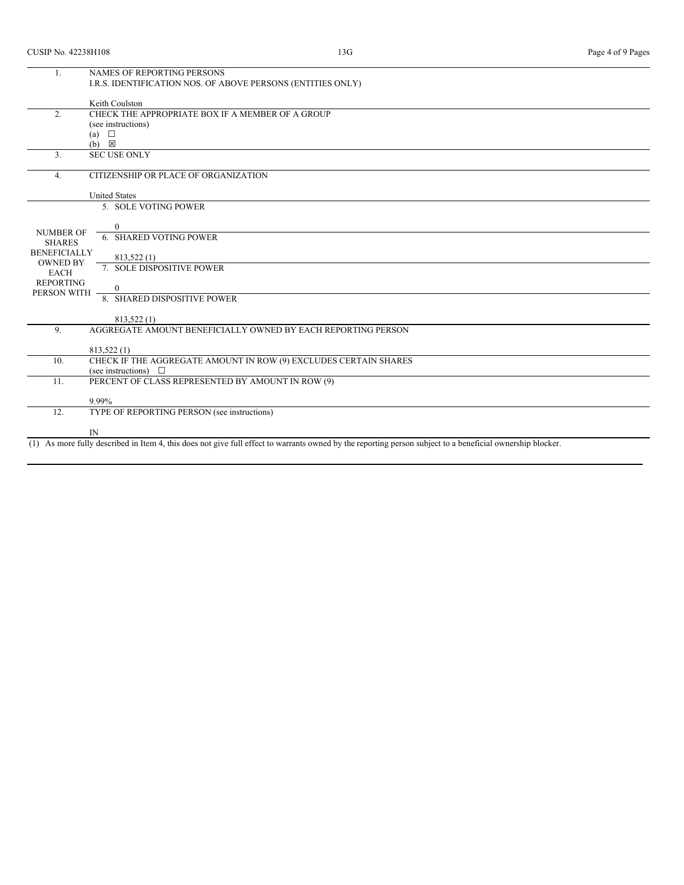| 1.                  | NAMES OF REPORTING PERSONS                                                                                                                                   |
|---------------------|--------------------------------------------------------------------------------------------------------------------------------------------------------------|
|                     | I.R.S. IDENTIFICATION NOS. OF ABOVE PERSONS (ENTITIES ONLY)                                                                                                  |
|                     |                                                                                                                                                              |
|                     | Keith Coulston                                                                                                                                               |
| 2.                  | CHECK THE APPROPRIATE BOX IF A MEMBER OF A GROUP                                                                                                             |
|                     | (see instructions)                                                                                                                                           |
|                     | $\Box$<br>(a)                                                                                                                                                |
|                     | $(b) \quad \boxtimes$                                                                                                                                        |
| 3.                  | <b>SEC USE ONLY</b>                                                                                                                                          |
|                     |                                                                                                                                                              |
| 4.                  | CITIZENSHIP OR PLACE OF ORGANIZATION                                                                                                                         |
|                     |                                                                                                                                                              |
|                     | <b>United States</b>                                                                                                                                         |
|                     | 5. SOLE VOTING POWER                                                                                                                                         |
|                     |                                                                                                                                                              |
|                     | 0                                                                                                                                                            |
| <b>NUMBER OF</b>    | 6. SHARED VOTING POWER                                                                                                                                       |
| <b>SHARES</b>       |                                                                                                                                                              |
| <b>BENEFICIALLY</b> | 813,522 (1)                                                                                                                                                  |
| <b>OWNED BY</b>     | 7. SOLE DISPOSITIVE POWER                                                                                                                                    |
| <b>EACH</b>         |                                                                                                                                                              |
| <b>REPORTING</b>    | 0                                                                                                                                                            |
| PERSON WITH         | 8. SHARED DISPOSITIVE POWER                                                                                                                                  |
|                     |                                                                                                                                                              |
|                     | 813,522 (1)                                                                                                                                                  |
| 9.                  | AGGREGATE AMOUNT BENEFICIALLY OWNED BY EACH REPORTING PERSON                                                                                                 |
|                     |                                                                                                                                                              |
|                     | 813,522 (1)                                                                                                                                                  |
| 10.                 | CHECK IF THE AGGREGATE AMOUNT IN ROW (9) EXCLUDES CERTAIN SHARES                                                                                             |
|                     | (see instructions) $\Box$                                                                                                                                    |
| 11.                 | PERCENT OF CLASS REPRESENTED BY AMOUNT IN ROW (9)                                                                                                            |
|                     |                                                                                                                                                              |
|                     | 9.99%                                                                                                                                                        |
| 12.                 | TYPE OF REPORTING PERSON (see instructions)                                                                                                                  |
|                     |                                                                                                                                                              |
|                     | IN                                                                                                                                                           |
|                     | $(1)$ As more fully described in Item 4, this does not give full effect to warrants owned by the reporting person subject to a beneficial ownership blocker. |
|                     |                                                                                                                                                              |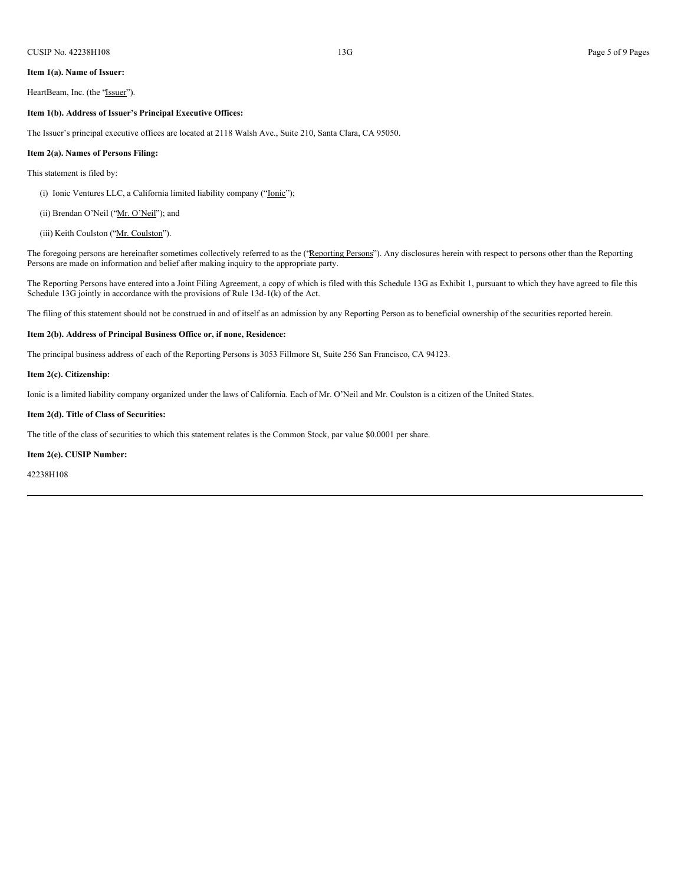#### **Item 1(a). Name of Issuer:**

HeartBeam, Inc. (the "Issuer").

#### **Item 1(b). Address of Issuer's Principal Executive Offices:**

The Issuer's principal executive offices are located at 2118 Walsh Ave., Suite 210, Santa Clara, CA 95050.

#### **Item 2(a). Names of Persons Filing:**

#### This statement is filed by:

(i) Ionic Ventures LLC, a California limited liability company ("Ionic");

(ii) Brendan O'Neil ("Mr. O'Neil"); and

# (iii) Keith Coulston ("Mr. Coulston").

The foregoing persons are hereinafter sometimes collectively referred to as the ("Reporting Persons"). Any disclosures herein with respect to persons other than the Reporting Persons are made on information and belief after making inquiry to the appropriate party.

The Reporting Persons have entered into a Joint Filing Agreement, a copy of which is filed with this Schedule 13G as Exhibit 1, pursuant to which they have agreed to file this Schedule 13G jointly in accordance with the provisions of Rule 13d-1(k) of the Act.

The filing of this statement should not be construed in and of itself as an admission by any Reporting Person as to beneficial ownership of the securities reported herein.

#### **Item 2(b). Address of Principal Business Office or, if none, Residence:**

The principal business address of each of the Reporting Persons is 3053 Fillmore St, Suite 256 San Francisco, CA 94123.

### **Item 2(c). Citizenship:**

Ionic is a limited liability company organized under the laws of California. Each of Mr. O'Neil and Mr. Coulston is a citizen of the United States.

#### **Item 2(d). Title of Class of Securities:**

The title of the class of securities to which this statement relates is the Common Stock, par value \$0.0001 per share.

#### **Item 2(e). CUSIP Number:**

42238H108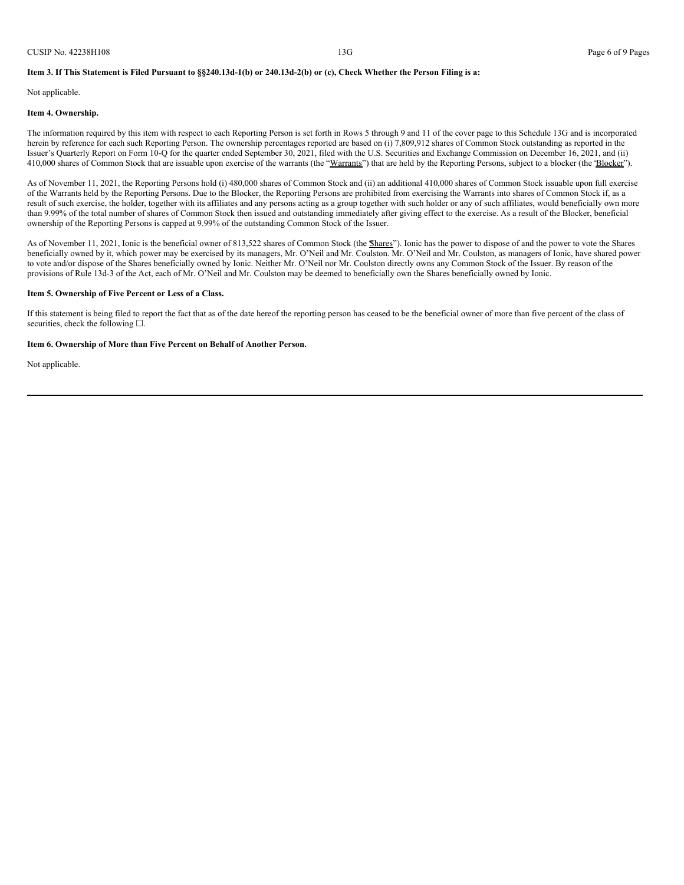### Item 3. If This Statement is Filed Pursuant to §§240.13d-1(b) or 240.13d-2(b) or (c), Check Whether the Person Filing is a:

Not applicable.

#### **Item 4. Ownership.**

The information required by this item with respect to each Reporting Person is set forth in Rows 5 through 9 and 11 of the cover page to this Schedule 13G and is incorporated herein by reference for each such Reporting Person. The ownership percentages reported are based on (i) 7,809,912 shares of Common Stock outstanding as reported in the Issuer's Quarterly Report on Form 10-Q for the quarter ended September 30, 2021, filed with the U.S. Securities and Exchange Commission on December 16, 2021, and (ii) 410,000 shares of Common Stock that are issuable upon exercise of the warrants (the "Warrants") that are held by the Reporting Persons, subject to a blocker (the 'Blocker").

As of November 11, 2021, the Reporting Persons hold (i) 480,000 shares of Common Stock and (ii) an additional 410,000 shares of Common Stock issuable upon full exercise of the Warrants held by the Reporting Persons. Due to the Blocker, the Reporting Persons are prohibited from exercising the Warrants into shares of Common Stock if, as a result of such exercise, the holder, together with its affiliates and any persons acting as a group together with such holder or any of such affiliates, would beneficially own more than 9.99% of the total number of shares of Common Stock then issued and outstanding immediately after giving effect to the exercise. As a result of the Blocker, beneficial ownership of the Reporting Persons is capped at 9.99% of the outstanding Common Stock of the Issuer.

As of November 11, 2021, Ionic is the beneficial owner of 813,522 shares of Common Stock (the *Shares*"). Ionic has the power to dispose of and the power to vote the Shares beneficially owned by it, which power may be exercised by its managers, Mr. O'Neil and Mr. Coulston. Mr. O'Neil and Mr. Coulston, as managers of Ionic, have shared power to vote and/or dispose of the Shares beneficially owned by Ionic. Neither Mr. O'Neil nor Mr. Coulston directly owns any Common Stock of the Issuer. By reason of the provisions of Rule 13d-3 of the Act, each of Mr. O'Neil and Mr. Coulston may be deemed to beneficially own the Shares beneficially owned by Ionic.

#### **Item 5. Ownership of Five Percent or Less of a Class.**

If this statement is being filed to report the fact that as of the date hereof the reporting person has ceased to be the beneficial owner of more than five percent of the class of securities, check the following □.

#### **Item 6. Ownership of More than Five Percent on Behalf of Another Person.**

Not applicable.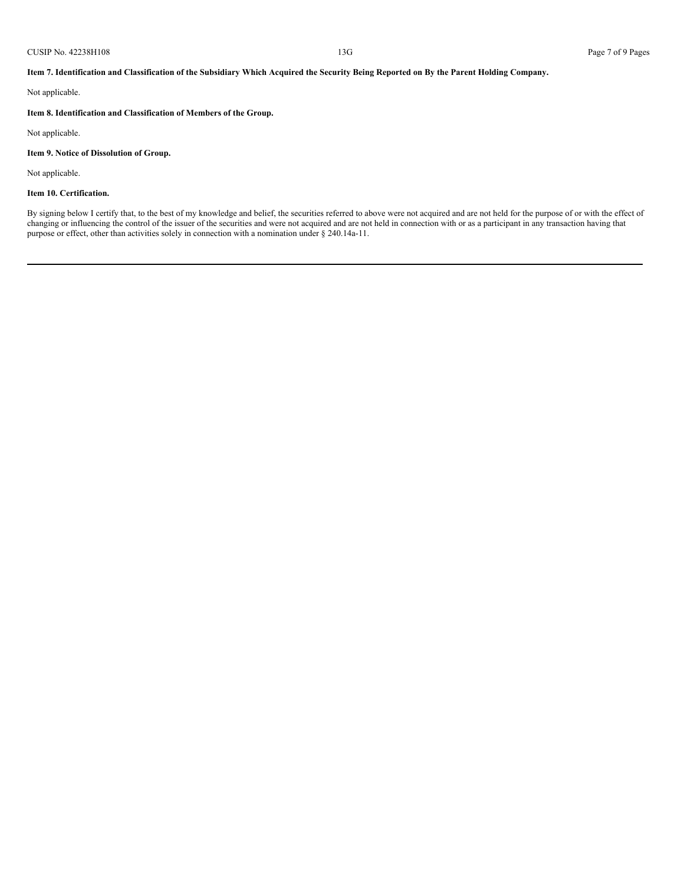#### CUSIP No. 42238H108 Page 7 of 9 Pages

Item 7. Identification and Classification of the Subsidiary Which Acquired the Security Being Reported on By the Parent Holding Company.

Not applicable.

# **Item 8. Identification and Classification of Members of the Group.**

Not applicable.

# **Item 9. Notice of Dissolution of Group.**

Not applicable.

# **Item 10. Certification.**

By signing below I certify that, to the best of my knowledge and belief, the securities referred to above were not acquired and are not held for the purpose of or with the effect of changing or influencing the control of the issuer of the securities and were not acquired and are not held in connection with or as a participant in any transaction having that purpose or effect, other than activities solely in connection with a nomination under § 240.14a-11.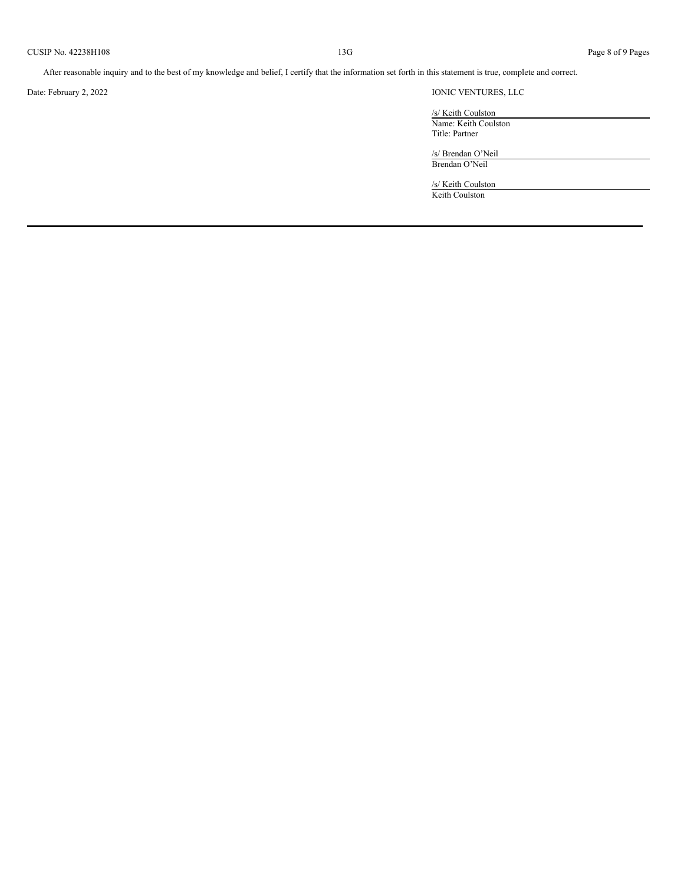After reasonable inquiry and to the best of my knowledge and belief, I certify that the information set forth in this statement is true, complete and correct.

# Date: February 2, 2022 IONIC VENTURES, LLC

/s/ Keith Coulston Name: Keith Coulston Title: Partner

/s/ Brendan O'Neil Brendan O'Neil

/s/ Keith Coulston Keith Coulston